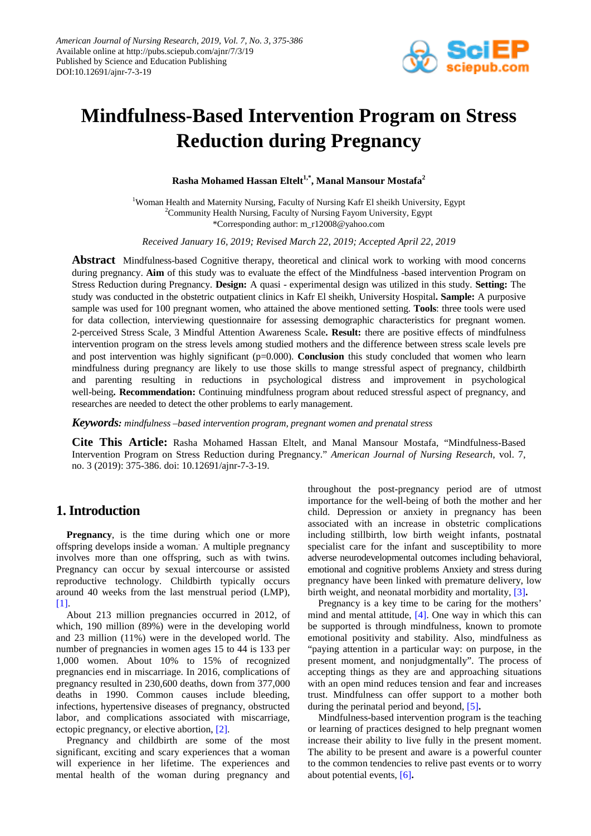

# **Mindfulness-Based Intervention Program on Stress Reduction during Pregnancy**

**Rasha Mohamed Hassan Eltelt1,\*, Manal Mansour Mostafa<sup>2</sup>**

<sup>1</sup>Woman Health and Maternity Nursing, Faculty of Nursing Kafr El sheikh University, Egypt <sup>2</sup>Community Health Nursing, Faculty of Nursing Fayom University, Egypt \*Corresponding author: m\_r12008@yahoo.com

*Received January 16, 2019; Revised March 22, 2019; Accepted April 22, 2019*

**Abstract** Mindfulness-based Cognitive therapy, theoretical and clinical work to working with mood concerns during pregnancy. **Aim** of this study was to evaluate the effect of the Mindfulness -based intervention Program on Stress Reduction during Pregnancy. **Design:** A quasi - experimental design was utilized in this study. **Setting:** The study was conducted in the obstetric outpatient clinics in Kafr El sheikh, University Hospital**. Sample:** A purposive sample was used for 100 pregnant women, who attained the above mentioned setting. **Tools**: three tools were used for data collection, interviewing questionnaire for assessing demographic characteristics for pregnant women. 2-perceived Stress Scale, 3 Mindful Attention Awareness Scale**. Result:** there are positive effects of mindfulness intervention program on the stress levels among studied mothers and the difference between stress scale levels pre and post intervention was highly significant (p=0.000). **Conclusion** this study concluded that women who learn mindfulness during pregnancy are likely to use those skills to mange stressful aspect of pregnancy, childbirth and parenting resulting in reductions in psychological distress and improvement in psychological well-being**. Recommendation:** Continuing mindfulness program about reduced stressful aspect of pregnancy, and researches are needed to detect the other problems to early management.

*Keywords: mindfulness –based intervention program, pregnant women and prenatal stress*

**Cite This Article:** Rasha Mohamed Hassan Eltelt, and Manal Mansour Mostafa, "Mindfulness-Based Intervention Program on Stress Reduction during Pregnancy." *American Journal of Nursing Research*, vol. 7, no. 3 (2019): 375-386. doi: 10.12691/ajnr-7-3-19.

# **1. Introduction**

**Pregnancy**, is the time during which one or more offspring develops inside a woman. . A multiple pregnancy involves more than one offspring, such as with twins. Pregnancy can occur by sexual intercourse or assisted reproductive technology. Childbirth typically occurs around 40 weeks from the last menstrual period (LMP), [\[1\].](#page-10-0)

About 213 million pregnancies occurred in 2012, of which, 190 million (89%) were in the developing world and 23 million (11%) were in the developed world. The number of pregnancies in women ages 15 to 44 is 133 per 1,000 women. About 10% to 15% of recognized pregnancies end in miscarriage. In 2016, complications of pregnancy resulted in 230,600 deaths, down from 377,000 deaths in 1990. Common causes include bleeding, infections, hypertensive diseases of pregnancy, obstructed labor, and complications associated with miscarriage, ectopic pregnancy, or elective abortion, [\[2\].](#page-10-1)

Pregnancy and childbirth are some of the most significant, exciting and scary experiences that a woman will experience in her lifetime. The experiences and mental health of the woman during pregnancy and throughout the post-pregnancy period are of utmost importance for the well-being of both the mother and her child. Depression or anxiety in pregnancy has been associated with an increase in obstetric complications including stillbirth, low birth weight infants, postnatal specialist care for the infant and susceptibility to more adverse neurodevelopmental outcomes including behavioral, emotional and cognitive problems Anxiety and stress during pregnancy have been linked with premature delivery, low birth weight, and neonatal morbidity and mortality, [\[3\]](#page-10-2)**.**

Pregnancy is a key time to be caring for the mothers' mind and mental attitude, [\[4\].](#page-10-3) One way in which this can be supported is through mindfulness, known to promote emotional positivity and stability. Also, mindfulness as "paying attention in a particular way: on purpose, in the present moment, and nonjudgmentally". The process of accepting things as they are and approaching situations with an open mind reduces tension and fear and increases trust. Mindfulness can offer support to a mother both during the perinatal period and beyond, [\[5\]](#page-10-4)**.**

Mindfulness-based intervention program is the teaching or learning of practices designed to help pregnant women increase their ability to live fully in the present moment. The ability to be present and aware is a powerful counter to the common tendencies to relive past events or to worry about potential events, [\[6\]](#page-10-5)**.**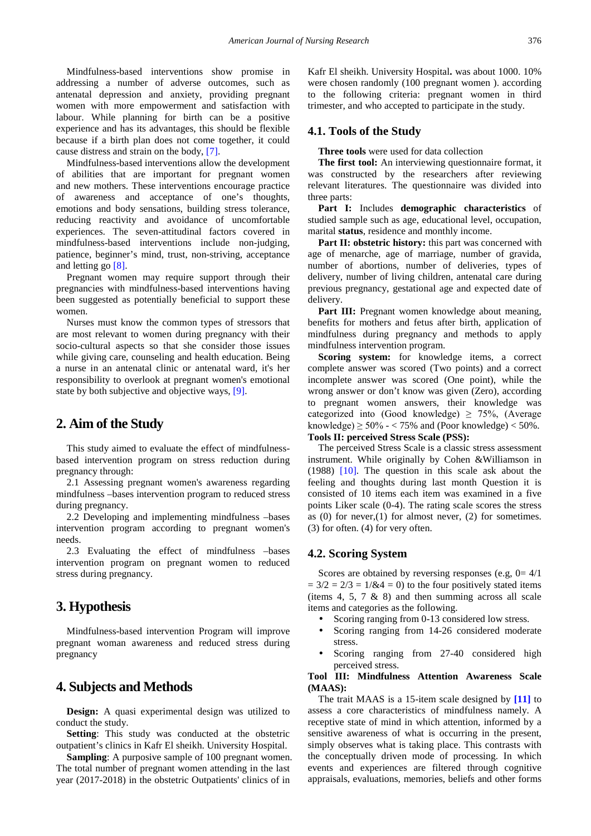Mindfulness-based interventions show promise in addressing a number of adverse outcomes, such as antenatal depression and anxiety, providing pregnant women with more empowerment and satisfaction with labour. While planning for birth can be a positive experience and has its advantages, this should be flexible because if a birth plan does not come together, it could cause distress and strain on the body, [\[7\].](#page-10-6)

Mindfulness-based interventions allow the development of abilities that are important for pregnant women and new mothers. These interventions encourage practice of awareness and acceptance of one's thoughts, emotions and body sensations, building stress tolerance, reducing reactivity and avoidance of uncomfortable experiences. The seven-attitudinal factors covered in mindfulness-based interventions include non-judging, patience, beginner's mind, trust, non-striving, acceptance and letting go [\[8\].](#page-10-7)

Pregnant women may require support through their pregnancies with mindfulness-based interventions having been suggested as potentially beneficial to support these women.

Nurses must know the common types of stressors that are most relevant to women during pregnancy with their socio-cultural aspects so that she consider those issues while giving care, counseling and health education. Being a nurse in an antenatal clinic or antenatal ward, it's her responsibility to overlook at pregnant women's emotional state by both subjective and objective ways, [\[9\].](#page-10-8)

# **2. Aim of the Study**

This study aimed to evaluate the effect of mindfulnessbased intervention program on stress reduction during pregnancy through:

2.1 Assessing pregnant women's awareness regarding mindfulness –bases intervention program to reduced stress during pregnancy.

2.2 Developing and implementing mindfulness –bases intervention program according to pregnant women's needs.

2.3 Evaluating the effect of mindfulness –bases intervention program on pregnant women to reduced stress during pregnancy.

# **3. Hypothesis**

Mindfulness-based intervention Program will improve pregnant woman awareness and reduced stress during pregnancy

# **4. Subjects and Methods**

**Design:** A quasi experimental design was utilized to conduct the study.

**Setting**: This study was conducted at the obstetric outpatient's clinics in Kafr El sheikh. University Hospital.

**Sampling**: A purposive sample of 100 pregnant women. The total number of pregnant women attending in the last year (2017-2018) in the obstetric Outpatients' clinics of in

Kafr El sheikh. University Hospital**.** was about 1000. 10% were chosen randomly (100 pregnant women ). according to the following criteria: pregnant women in third trimester, and who accepted to participate in the study.

## **4.1. Tools of the Study**

**Three tools** were used for data collection

**The first tool:** An interviewing questionnaire format, it was constructed by the researchers after reviewing relevant literatures. The questionnaire was divided into three parts:

**Part I:** Includes **demographic characteristics** of studied sample such as age, educational level, occupation, marital **status**, residence and monthly income.

Part II: obstetric history: this part was concerned with age of menarche, age of marriage, number of gravida, number of abortions, number of deliveries, types of delivery, number of living children, antenatal care during previous pregnancy, gestational age and expected date of delivery.

**Part III:** Pregnant women knowledge about meaning. benefits for mothers and fetus after birth, application of mindfulness during pregnancy and methods to apply mindfulness intervention program.

**Scoring system:** for knowledge items, a correct complete answer was scored (Two points) and a correct incomplete answer was scored (One point), while the wrong answer or don't know was given (Zero), according to pregnant women answers, their knowledge was categorized into (Good knowledge)  $\geq$  75%, (Average knowledge)  $\geq 50\% - 75\%$  and (Poor knowledge)  $< 50\%$ .

**Tools II: perceived Stress Scale (PSS):**

The perceived Stress Scale is a classic stress assessment instrument. While originally by Cohen &Williamson in (1988) [\[10\].](#page-10-9) The question in this scale ask about the feeling and thoughts during last month Question it is consisted of 10 items each item was examined in a five points Liker scale (0-4). The rating scale scores the stress as  $(0)$  for never,  $(1)$  for almost never,  $(2)$  for sometimes. (3) for often. (4) for very often.

## **4.2. Scoring System**

Scores are obtained by reversing responses (e.g,  $0=4/1$ )  $= 3/2 = 2/3 = 1/(8.4 = 0)$  to the four positively stated items (items 4, 5, 7 & 8) and then summing across all scale items and categories as the following.

Scoring ranging from 0-13 considered low stress.

- Scoring ranging from 14-26 considered moderate stress.
- Scoring ranging from 27-40 considered high perceived stress.

#### **Tool III: Mindfulness Attention Awareness Scale (MAAS):**

The trait MAAS is a 15-item scale designed by **[\[11\]](#page-10-10)** to assess a core characteristics of mindfulness namely. A receptive state of mind in which attention, informed by a sensitive awareness of what is occurring in the present, simply observes what is taking place. This contrasts with the conceptually driven mode of processing. In which events and experiences are filtered through cognitive appraisals, evaluations, memories, beliefs and other forms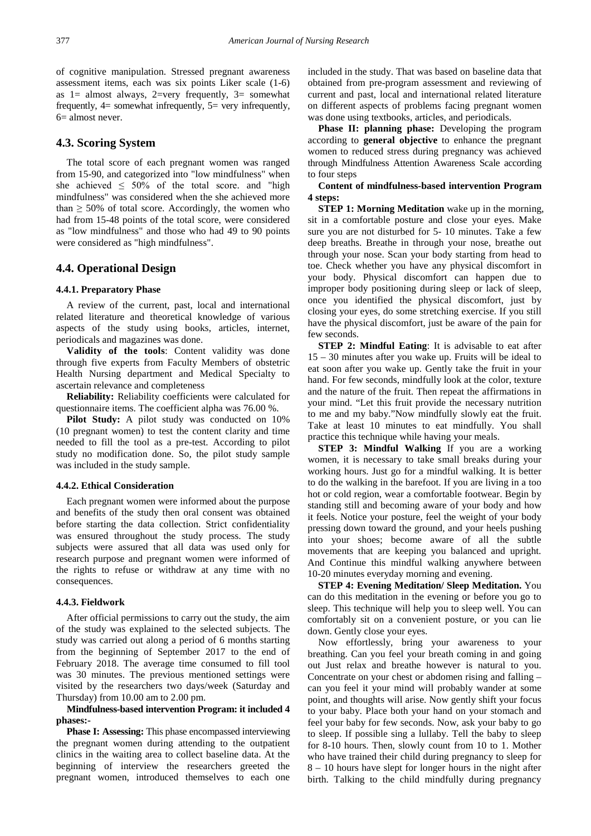of cognitive manipulation. Stressed pregnant awareness assessment items, each was six points Liker scale (1-6) as  $1=$  almost always,  $2=$ very frequently,  $3=$  somewhat frequently,  $4=$  somewhat infrequently,  $5=$  very infrequently, 6= almost never.

### **4.3. Scoring System**

The total score of each pregnant women was ranged from 15-90, and categorized into "low mindfulness" when she achieved  $\leq 50\%$  of the total score. and "high mindfulness" was considered when the she achieved more than  $\geq$  50% of total score. Accordingly, the women who had from 15-48 points of the total score, were considered as "low mindfulness" and those who had 49 to 90 points were considered as "high mindfulness".

## **4.4. Operational Design**

#### **4.4.1. Preparatory Phase**

A review of the current, past, local and international related literature and theoretical knowledge of various aspects of the study using books, articles, internet, periodicals and magazines was done.

**Validity of the tools**: Content validity was done through five experts from Faculty Members of obstetric Health Nursing department and Medical Specialty to ascertain relevance and completeness

**Reliability:** Reliability coefficients were calculated for questionnaire items. The coefficient alpha was 76.00 %.

**Pilot Study:** A pilot study was conducted on 10% (10 pregnant women) to test the content clarity and time needed to fill the tool as a pre-test. According to pilot study no modification done. So, the pilot study sample was included in the study sample.

#### **4.4.2. Ethical Consideration**

Each pregnant women were informed about the purpose and benefits of the study then oral consent was obtained before starting the data collection. Strict confidentiality was ensured throughout the study process. The study subjects were assured that all data was used only for research purpose and pregnant women were informed of the rights to refuse or withdraw at any time with no consequences.

#### **4.4.3. Fieldwork**

After official permissions to carry out the study, the aim of the study was explained to the selected subjects. The study was carried out along a period of 6 months starting from the beginning of September 2017 to the end of February 2018. The average time consumed to fill tool was 30 minutes. The previous mentioned settings were visited by the researchers two days/week (Saturday and Thursday) from 10.00 am to 2.00 pm.

**Mindfulness-based intervention Program: it included 4 phases:-**

**Phase I: Assessing:** This phase encompassed interviewing the pregnant women during attending to the outpatient clinics in the waiting area to collect baseline data. At the beginning of interview the researchers greeted the pregnant women, introduced themselves to each one

included in the study. That was based on baseline data that obtained from pre-program assessment and reviewing of current and past, local and international related literature on different aspects of problems facing pregnant women was done using textbooks, articles, and periodicals.

**Phase II: planning phase:** Developing the program according to **general objective** to enhance the pregnant women to reduced stress during pregnancy was achieved through Mindfulness Attention Awareness Scale according to four steps

**Content of mindfulness-based intervention Program 4 steps:**

**STEP 1: Morning Meditation** wake up in the morning, sit in a comfortable posture and close your eyes. Make sure you are not disturbed for 5- 10 minutes. Take a few deep breaths. Breathe in through your nose, breathe out through your nose. Scan your body starting from head to toe. Check whether you have any physical discomfort in your body. Physical discomfort can happen due to improper body positioning during sleep or lack of sleep, once you identified the physical discomfort, just by closing your eyes, do some stretching exercise. If you still have the physical discomfort, just be aware of the pain for few seconds.

**STEP 2: Mindful Eating**: It is advisable to eat after 15 – 30 minutes after you wake up. Fruits will be ideal to eat soon after you wake up. Gently take the fruit in your hand. For few seconds, mindfully look at the color, texture and the nature of the fruit. Then repeat the affirmations in your mind. "Let this fruit provide the necessary nutrition to me and my baby."Now mindfully slowly eat the fruit. Take at least 10 minutes to eat mindfully. You shall practice this technique while having your meals.

**STEP 3: Mindful Walking** If you are a working women, it is necessary to take small breaks during your working hours. Just go for a mindful walking. It is better to do the walking in the barefoot. If you are living in a too hot or cold region, wear a comfortable footwear. Begin by standing still and becoming aware of your body and how it feels. Notice your posture, feel the weight of your body pressing down toward the ground, and your heels pushing into your shoes; become aware of all the subtle movements that are keeping you balanced and upright. And Continue this mindful walking anywhere between 10-20 minutes everyday morning and evening.

**STEP 4: Evening Meditation/ Sleep Meditation.** You can do this meditation in the evening or before you go to sleep. This technique will help you to sleep well. You can comfortably sit on a convenient posture, or you can lie down. Gently close your eyes.

Now effortlessly, bring your awareness to your breathing. Can you feel your breath coming in and going out Just relax and breathe however is natural to you. Concentrate on your chest or abdomen rising and falling – can you feel it your mind will probably wander at some point, and thoughts will arise. Now gently shift your focus to your baby. Place both your hand on your stomach and feel your baby for few seconds. Now, ask your baby to go to sleep. If possible sing a lullaby. Tell the baby to sleep for 8-10 hours. Then, slowly count from 10 to 1. Mother who have trained their child during pregnancy to sleep for 8 – 10 hours have slept for longer hours in the night after birth. Talking to the child mindfully during pregnancy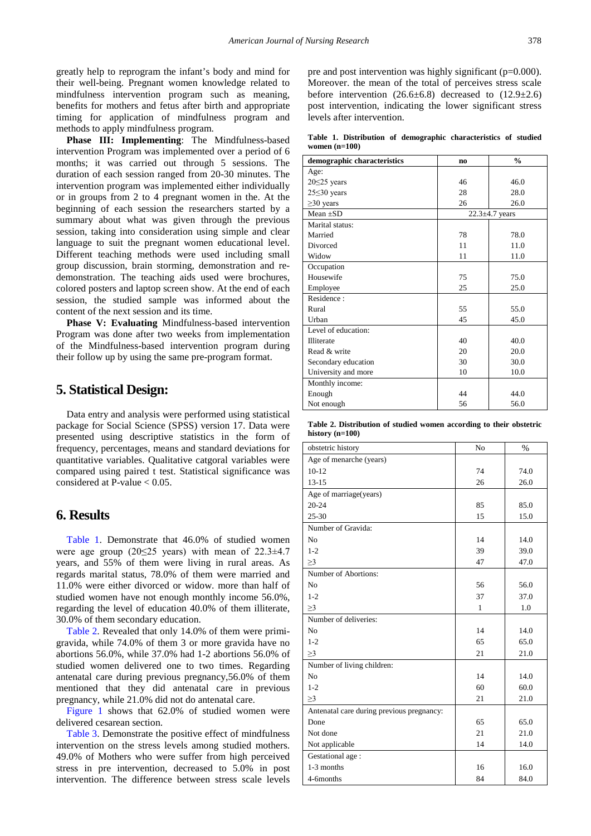greatly help to reprogram the infant's body and mind for their well-being. Pregnant women knowledge related to mindfulness intervention program such as meaning, benefits for mothers and fetus after birth and appropriate timing for application of mindfulness program and methods to apply mindfulness program.

**Phase III: Implementing**: The Mindfulness-based intervention Program was implemented over a period of 6 months; it was carried out through 5 sessions. The duration of each session ranged from 20-30 minutes. The intervention program was implemented either individually or in groups from 2 to 4 pregnant women in the. At the beginning of each session the researchers started by a summary about what was given through the previous session, taking into consideration using simple and clear language to suit the pregnant women educational level. Different teaching methods were used including small group discussion, brain storming, demonstration and redemonstration. The teaching aids used were brochures, colored posters and laptop screen show. At the end of each session, the studied sample was informed about the content of the next session and its time.

**Phase V: Evaluating** Mindfulness-based intervention Program was done after two weeks from implementation of the Mindfulness-based intervention program during their follow up by using the same pre-program format.

## **5. Statistical Design:**

Data entry and analysis were performed using statistical package for Social Science (SPSS) version 17. Data were presented using descriptive statistics in the form of frequency, percentages, means and standard deviations for quantitative variables. Qualitative catgoral variables were compared using paired t test. Statistical significance was considered at P-value  $< 0.05$ .

## **6. Results**

[Table 1.](#page-3-0) Demonstrate that 46.0% of studied women were age group (20≤25 years) with mean of 22.3±4.7 years, and 55% of them were living in rural areas. As regards marital status, 78.0% of them were married and 11.0% were either divorced or widow. more than half of studied women have not enough monthly income 56.0%, regarding the level of education 40.0% of them illiterate, 30.0% of them secondary education.

[Table 2.](#page-3-1) Revealed that only 14.0% of them were primigravida, while 74.0% of them 3 or more gravida have no abortions 56.0%, while 37.0% had 1-2 abortions 56.0% of studied women delivered one to two times. Regarding antenatal care during previous pregnancy,56.0% of them mentioned that they did antenatal care in previous pregnancy, while 21.0% did not do antenatal care.

[Figure 1](#page-4-0) shows that 62.0% of studied women were delivered cesarean section.

[Table 3.](#page-4-1) Demonstrate the positive effect of mindfulness intervention on the stress levels among studied mothers. 49.0% of Mothers who were suffer from high perceived stress in pre intervention, decreased to 5.0% in post intervention. The difference between stress scale levels

pre and post intervention was highly significant (p=0.000). Moreover. the mean of the total of perceives stress scale before intervention  $(26.6\pm6.8)$  decreased to  $(12.9\pm2.6)$ post intervention, indicating the lower significant stress levels after intervention.

**Table 1. Distribution of demographic characteristics of studied women (n=100)**

<span id="page-3-0"></span>

| demographic characteristics | n <sub>0</sub> | $\frac{0}{0}$        |
|-----------------------------|----------------|----------------------|
| Age:                        |                |                      |
| $20 \leq 25$ years          | 46             | 46.0                 |
| $25 \leq 30$ years          | 28             | 28.0                 |
| $\geq$ 30 years             | 26             | 26.0                 |
| $Mean + SD$                 |                | $22.3 \pm 4.7$ years |
| Marital status:             |                |                      |
| Married                     | 78             | 78.0                 |
| Divorced                    | 11             | 11.0                 |
| Widow                       | 11             | 11.0                 |
| Occupation                  |                |                      |
| Housewife                   | 75             | 75.0                 |
| Employee                    | 25             | 25.0                 |
| Residence:                  |                |                      |
| Rural                       | 55             | 55.0                 |
| Urban                       | 45             | 45.0                 |
| Level of education:         |                |                      |
| Illiterate                  | 40             | 40.0                 |
| Read & write                | 20             | 20.0                 |
| Secondary education         | 30             | 30.0                 |
| University and more         | 10             | 10.0                 |
| Monthly income:             |                |                      |
| Enough                      | 44             | 44.0                 |
| Not enough                  | 56             | 56.0                 |

<span id="page-3-1"></span>

| Table 2. Distribution of studied women according to their obstetric |  |  |
|---------------------------------------------------------------------|--|--|
| history $(n=100)$                                                   |  |  |

| obstetric history                         | No           | %    |
|-------------------------------------------|--------------|------|
| Age of menarche (years)                   |              |      |
| $10-12$                                   | 74           | 74.0 |
| $13 - 15$                                 | 26           | 26.0 |
| Age of marriage(years)                    |              |      |
| $20 - 24$                                 | 85           | 85.0 |
| 25-30                                     | 15           | 15.0 |
| Number of Gravida:                        |              |      |
| N <sub>0</sub>                            | 14           | 14.0 |
| $1 - 2$                                   | 39           | 39.0 |
| $\geq$ 3                                  | 47           | 47.0 |
| Number of Abortions:                      |              |      |
| N <sub>0</sub>                            | 56           | 56.0 |
| $1 - 2$                                   | 37           | 37.0 |
| $\geq$ 3                                  | $\mathbf{1}$ | 1.0  |
| Number of deliveries:                     |              |      |
| N <sub>0</sub>                            | 14           | 14.0 |
| $1 - 2$                                   | 65           | 65.0 |
| $\geq$ 3                                  | 21           | 21.0 |
| Number of living children:                |              |      |
| N <sub>0</sub>                            | 14           | 14.0 |
| $1 - 2$                                   | 60           | 60.0 |
| $\geq$ 3                                  | 21           | 21.0 |
| Antenatal care during previous pregnancy: |              |      |
| Done                                      | 65           | 65.0 |
| Not done                                  | 21           | 21.0 |
| Not applicable                            | 14           | 14.0 |
| Gestational age:                          |              |      |
| 1-3 months                                | 16           | 16.0 |
| 4-6months                                 | 84           | 84.0 |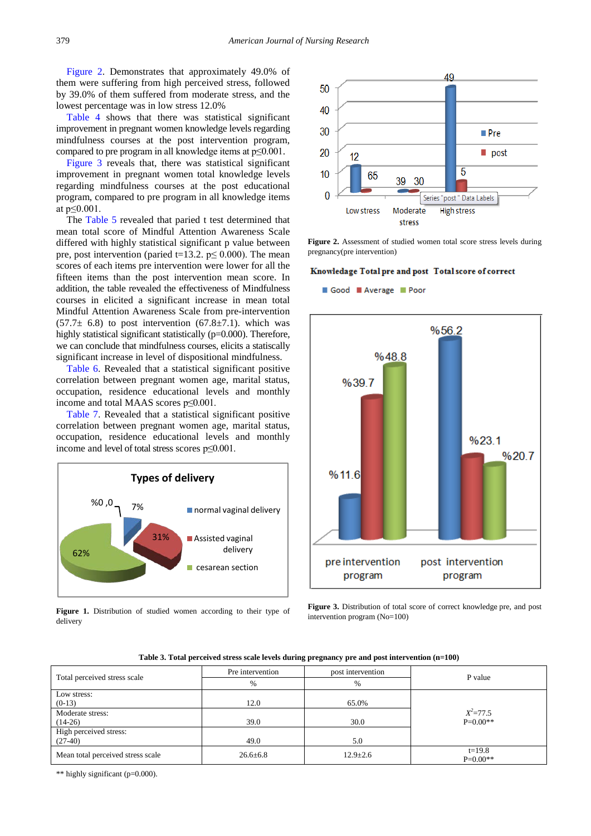[Figure 2.](#page-4-2) Demonstrates that approximately 49.0% of them were suffering from high perceived stress, followed by 39.0% of them suffered from moderate stress, and the lowest percentage was in low stress 12.0%

[Table 4](#page-5-0) shows that there was statistical significant improvement in pregnant women knowledge levels regarding mindfulness courses at the post intervention program, compared to pre program in all knowledge items at p≤0.001.

[Figure 3](#page-4-3) reveals that, there was statistical significant improvement in pregnant women total knowledge levels regarding mindfulness courses at the post educational program, compared to pre program in all knowledge items at p≤0.001.

The [Table 5](#page-5-1) revealed that paried t test determined that mean total score of Mindful Attention Awareness Scale differed with highly statistical significant p value between pre, post intervention (paried t=13.2.  $p \le 0.000$ ). The mean scores of each items pre intervention were lower for all the fifteen items than the post intervention mean score. In addition, the table revealed the effectiveness of Mindfulness courses in elicited a significant increase in mean total Mindful Attention Awareness Scale from pre-intervention  $(57.7\pm 6.8)$  to post intervention  $(67.8\pm 7.1)$ . which was highly statistical significant statistically (p=0.000). Therefore, we can conclude that mindfulness courses, elicits a statiscally significant increase in level of dispositional mindfulness.

[Table 6.](#page-6-0) Revealed that a statistical significant positive correlation between pregnant women age, marital status, occupation, residence educational levels and monthly income and total MAAS scores p≤0.001.

[Table 7.](#page-6-1) Revealed that a statistical significant positive correlation between pregnant women age, marital status, occupation, residence educational levels and monthly income and level of total stress scores p≤0.001.

<span id="page-4-0"></span>

Figure 1. Distribution of studied women according to their type of delivery

<span id="page-4-2"></span>

Figure 2. Assessment of studied women total score stress levels during pregnancy(pre intervention)

#### <span id="page-4-3"></span>Knowledage Total pre and post Total score of correct

Good Average Poor



Figure 3. Distribution of total score of correct knowledge pre, and post intervention program (No=100)

**Table 3. Total perceived stress scale levels during pregnancy pre and post intervention (n=100)**

<span id="page-4-1"></span>

|                                   | Pre intervention<br>post intervention |                | P value                |  |
|-----------------------------------|---------------------------------------|----------------|------------------------|--|
| Total perceived stress scale      | $\%$                                  | $\frac{0}{6}$  |                        |  |
| Low stress:                       |                                       |                |                        |  |
| $(0-13)$                          | 12.0                                  | 65.0%          |                        |  |
| Moderate stress:                  |                                       |                | $X^2 = 77.5$           |  |
| $(14-26)$                         | 39.0                                  | 30.0           | $P=0.00**$             |  |
| High perceived stress:            |                                       |                |                        |  |
| $(27-40)$                         | 49.0                                  | 5.0            |                        |  |
| Mean total perceived stress scale | $26.6 \pm 6.8$                        | $12.9 \pm 2.6$ | $t=19.8$<br>$P=0.00**$ |  |

\*\* highly significant (p=0.000).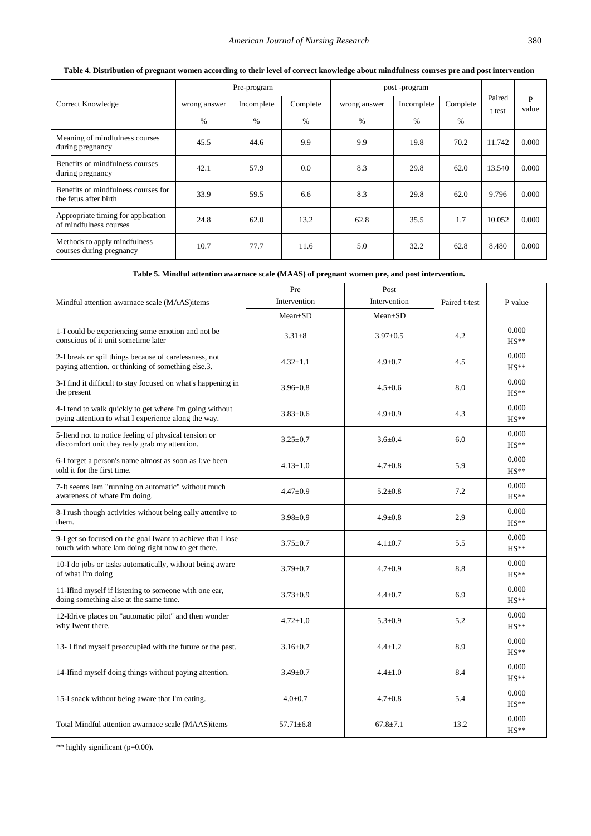<span id="page-5-0"></span>

|                                                              | Pre-program   |            |          | post-program  |            |          |                  |            |
|--------------------------------------------------------------|---------------|------------|----------|---------------|------------|----------|------------------|------------|
| Correct Knowledge                                            | wrong answer  | Incomplete | Complete | wrong answer  | Incomplete | Complete | Paired<br>t test | P<br>value |
|                                                              | $\frac{0}{0}$ | $\%$       | $\%$     | $\frac{0}{0}$ | $\%$       | $\%$     |                  |            |
| Meaning of mindfulness courses<br>during pregnancy           | 45.5          | 44.6       | 9.9      | 9.9           | 19.8       | 70.2     | 11.742           | 0.000      |
| Benefits of mindfulness courses<br>during pregnancy          | 42.1          | 57.9       | 0.0      | 8.3           | 29.8       | 62.0     | 13.540           | 0.000      |
| Benefits of mindfulness courses for<br>the fetus after birth | 33.9          | 59.5       | 6.6      | 8.3           | 29.8       | 62.0     | 9.796            | 0.000      |
| Appropriate timing for application<br>of mindfulness courses | 24.8          | 62.0       | 13.2     | 62.8          | 35.5       | 1.7      | 10.052           | 0.000      |
| Methods to apply mindfulness<br>courses during pregnancy     | 10.7          | 77.7       | 11.6     | 5.0           | 32.2       | 62.8     | 8.480            | 0.000      |

## **Table 4. Distribution of pregnant women according to their level of correct knowledge about mindfulness courses pre and post intervention**

**Table 5. Mindful attention awarnace scale (MAAS) of pregnant women pre, and post intervention.**

<span id="page-5-1"></span>

|                                                                                                                   | Pre             | Post          |               |                             |
|-------------------------------------------------------------------------------------------------------------------|-----------------|---------------|---------------|-----------------------------|
| Mindful attention awarnace scale (MAAS)items                                                                      | Intervention    | Intervention  | Paired t-test | P value                     |
|                                                                                                                   | $Mean+SD$       | $Mean \pm SD$ |               |                             |
| 1-I could be experiencing some emotion and not be<br>conscious of it unit sometime later                          | $3.31 \pm 8$    | $3.97 + 0.5$  | 4.2           | 0.000<br>$HS**$             |
| 2-I break or spil things because of carelessness, not<br>paying attention, or thinking of something else.3.       | $4.32 \pm 1.1$  | $4.9 \pm 0.7$ | 4.5           | 0.000<br>$HS**$             |
| 3-I find it difficult to stay focused on what's happening in<br>the present                                       | $3.96 + 0.8$    | $4.5 + 0.6$   | 8.0           | 0.000<br>$HS**$             |
| 4-I tend to walk quickly to get where I'm going without<br>pying attention to what I experience along the way.    | $3.83 \pm 0.6$  | $4.9 \pm 0.9$ | 4.3           | 0.000<br>$HS**$             |
| 5-Itend not to notice feeling of physical tension or<br>discomfort unit they realy grab my attention.             | $3.25 \pm 0.7$  | $3.6 + 0.4$   | 6.0           | 0.000<br>$HS**$             |
| 6-I forget a person's name almost as soon as I; ve been<br>told it for the first time.                            | $4.13 + 1.0$    | $4.7 + 0.8$   | 5.9           | 0.000<br>$HS**$             |
| 7-It seems Iam "running on automatic" without much<br>awareness of whate I'm doing.                               | $4.47 \pm 0.9$  | $5.2 \pm 0.8$ | 7.2           | 0.000<br>$HS**$             |
| 8-I rush though activities without being eally attentive to<br>them.                                              | $3.98 \pm 0.9$  | $4.9 \pm 0.8$ | 2.9           | 0.000<br>$HS**$             |
| 9-I get so focused on the goal Iwant to achieve that I lose<br>touch with whate Iam doing right now to get there. | $3.75 + 0.7$    | $4.1 + 0.7$   | 5.5           | 0.000<br>$HS**$             |
| 10-I do jobs or tasks automatically, without being aware<br>of what I'm doing                                     | $3.79 \pm 0.7$  | $4.7 \pm 0.9$ | 8.8           | 0.000<br>$HS**$             |
| 11-Ifind myself if listening to someone with one ear,<br>doing something alse at the same time.                   | $3.73 \pm 0.9$  | $4.4 \pm 0.7$ | 6.9           | 0.000<br>$HS**$             |
| 12-Idrive places on "automatic pilot" and then wonder<br>why Iwent there.                                         | $4.72 \pm 1.0$  | $5.3 \pm 0.9$ | 5.2           | 0.000<br>$HS**$             |
| 13- I find myself preoccupied with the future or the past.                                                        | $3.16 \pm 0.7$  | $4.4 \pm 1.2$ | 8.9           | 0.000<br>$HS**$             |
| 14-If ind myself doing things without paying attention.                                                           | $3.49 \pm 0.7$  | $4.4 \pm 1.0$ | 8.4           | 0.000<br>$\mathrm{HS}^{**}$ |
| 15-I snack without being aware that I'm eating.                                                                   | $4.0 + 0.7$     | $4.7 \pm 0.8$ | 5.4           | 0.000<br>$HS**$             |
| Total Mindful attention awarnace scale (MAAS) items                                                               | $57.71 \pm 6.8$ | $67.8 + 7.1$  | 13.2          | 0.000<br>$HS**$             |

\*\* highly significant (p=0.00).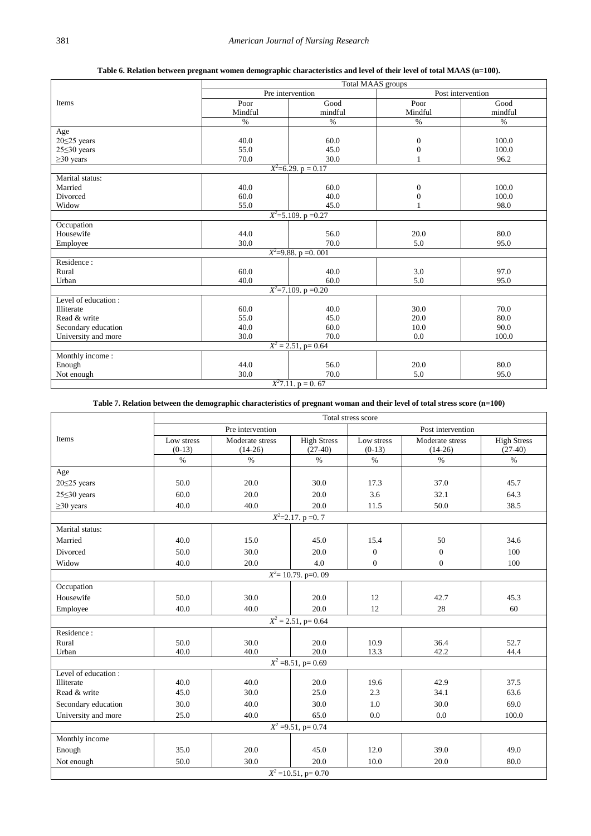**Table 6. Relation between pregnant women demographic characteristics and level of their level of total MAAS (n=100).**

<span id="page-6-0"></span>

|                        | Total MAAS groups |                                |                  |                   |  |  |  |
|------------------------|-------------------|--------------------------------|------------------|-------------------|--|--|--|
|                        |                   | Pre intervention               |                  | Post intervention |  |  |  |
| Items                  | Poor              | Good                           | Poor             | Good              |  |  |  |
|                        | Mindful           | mindful                        | Mindful          | mindful           |  |  |  |
|                        | $\%$              | $\%$                           | $\%$             | $\%$              |  |  |  |
| Age                    |                   |                                |                  |                   |  |  |  |
| $20 \le 25$ years      | 40.0              | 60.0                           | $\mathbf{0}$     | 100.0             |  |  |  |
| $25 \leq 30$ years     | 55.0              | 45.0                           | $\boldsymbol{0}$ | 100.0             |  |  |  |
| $\geq$ 30 years        | 70.0              | 30.0                           |                  | 96.2              |  |  |  |
|                        |                   | $X^2=6.29. p=0.17$             |                  |                   |  |  |  |
| Marital status:        |                   |                                |                  |                   |  |  |  |
| Married                | 40.0              | 60.0                           | $\boldsymbol{0}$ | 100.0             |  |  |  |
| Divorced               | 60.0              | 40.0                           | $\overline{0}$   | 100.0             |  |  |  |
| Widow                  | 55.0              | 45.0                           |                  | 98.0              |  |  |  |
|                        |                   | $X^2 = 5.109$ . p = 0.27       |                  |                   |  |  |  |
| Occupation             |                   |                                |                  |                   |  |  |  |
| Housewife              | 44.0              | 56.0                           | 20.0             | 80.0              |  |  |  |
| Employee               | 30.0              | 70.0                           | 5.0              | 95.0              |  |  |  |
| $X^2=9.88. p=0.001$    |                   |                                |                  |                   |  |  |  |
| Residence:             |                   |                                |                  |                   |  |  |  |
| Rural                  | 60.0              | 40.0                           | 3.0              | 97.0              |  |  |  |
| Urban                  | 40.0              | 60.0                           | 5.0              | 95.0              |  |  |  |
|                        |                   | $X^2 = 7.109$ . p = 0.20       |                  |                   |  |  |  |
| Level of education:    |                   |                                |                  |                   |  |  |  |
| <b>Illiterate</b>      | 60.0              | 40.0                           | 30.0             | 70.0              |  |  |  |
| Read & write           | 55.0              | 45.0                           | 20.0             | 80.0              |  |  |  |
| Secondary education    | 40.0              | 60.0                           | 10.0             | 90.0              |  |  |  |
| University and more    | 30.0              | 70.0                           | 0.0              | 100.0             |  |  |  |
| $X^2 = 2.51$ , p= 0.64 |                   |                                |                  |                   |  |  |  |
| Monthly income:        |                   |                                |                  |                   |  |  |  |
| Enough                 | 44.0              | 56.0                           | 20.0             | 80.0              |  |  |  |
| Not enough             | 30.0              | 70.0                           | 5.0              | 95.0              |  |  |  |
|                        |                   | $\overline{X^27.11. p} = 0.67$ |                  |                   |  |  |  |

#### **Table 7. Relation between the demographic characteristics of pregnant woman and their level of total stress score (n=100)**

<span id="page-6-1"></span>

|                                   | Total stress score |                 |                        |                |                 |                    |
|-----------------------------------|--------------------|-----------------|------------------------|----------------|-----------------|--------------------|
|                                   | Pre intervention   |                 | Post intervention      |                |                 |                    |
| Items                             | Low stress         | Moderate stress | <b>High Stress</b>     | Low stress     | Moderate stress | <b>High Stress</b> |
|                                   | $(0-13)$           | $(14-26)$       | $(27-40)$              | $(0-13)$       | $(14-26)$       | $(27-40)$          |
|                                   | $\%$               | $\%$            | $\%$                   | $\%$           | $\%$            | $\%$               |
| Age                               |                    |                 |                        |                |                 |                    |
| $20 \le 25$ years                 | 50.0               | 20.0            | 30.0                   | 17.3           | 37.0            | 45.7               |
| $25 \leq 30$ years                | 60.0               | 20.0            | 20.0                   | 3.6            | 32.1            | 64.3               |
| $\geq$ 30 years                   | 40.0               | 40.0            | 20.0                   | 11.5           | 50.0            | 38.5               |
|                                   |                    |                 | $X^2 = 2.17$ . p = 0.7 |                |                 |                    |
| Marital status:                   |                    |                 |                        |                |                 |                    |
| Married                           | 40.0               | 15.0            | 45.0                   | 15.4           | 50              | 34.6               |
| Divorced                          | 50.0               | 30.0            | 20.0                   | $\overline{0}$ | $\Omega$        | 100                |
| Widow                             | 40.0               | 20.0            | 4.0                    | $\overline{0}$ | $\mathbf{0}$    | 100                |
|                                   |                    |                 | $X^2$ = 10.79. p=0. 09 |                |                 |                    |
| Occupation                        |                    |                 |                        |                |                 |                    |
| Housewife                         | 50.0               | 30.0            | 20.0                   | 12             | 42.7            | 45.3               |
| Employee                          | 40.0               | 40.0            | 20.0                   | 12             | 28              | 60                 |
|                                   |                    |                 | $X^2 = 2.51$ , p= 0.64 |                |                 |                    |
| Residence:                        |                    |                 |                        |                |                 |                    |
| Rural                             | 50.0               | 30.0            | 20.0                   | 10.9           | 36.4            | 52.7               |
| Urban                             | 40.0               | 40.0            | 20.0                   | 13.3           | 42.2            | 44.4               |
|                                   |                    |                 | $X^2 = 8.51$ , p= 0.69 |                |                 |                    |
| Level of education:               |                    |                 |                        |                |                 |                    |
| Illiterate                        | 40.0               | 40.0            | 20.0                   | 19.6           | 42.9            | 37.5               |
| Read & write                      | 45.0               | 30.0            | 25.0                   | 2.3            | 34.1            | 63.6               |
| Secondary education               | 30.0               | 40.0            | 30.0                   | 1.0            | 30.0            | 69.0               |
| University and more               | 25.0               | 40.0            | 65.0                   | 0.0            | 0.0             | 100.0              |
| $X^2 = 9.51$ , p= 0.74            |                    |                 |                        |                |                 |                    |
| Monthly income                    |                    |                 |                        |                |                 |                    |
| Enough                            | 35.0               | 20.0            | 45.0                   | 12.0           | 39.0            | 49.0               |
| Not enough                        | 50.0               | 30.0            | 20.0                   | 10.0           | 20.0            | 80.0               |
| $\overline{X^2}$ = 10.51, p= 0.70 |                    |                 |                        |                |                 |                    |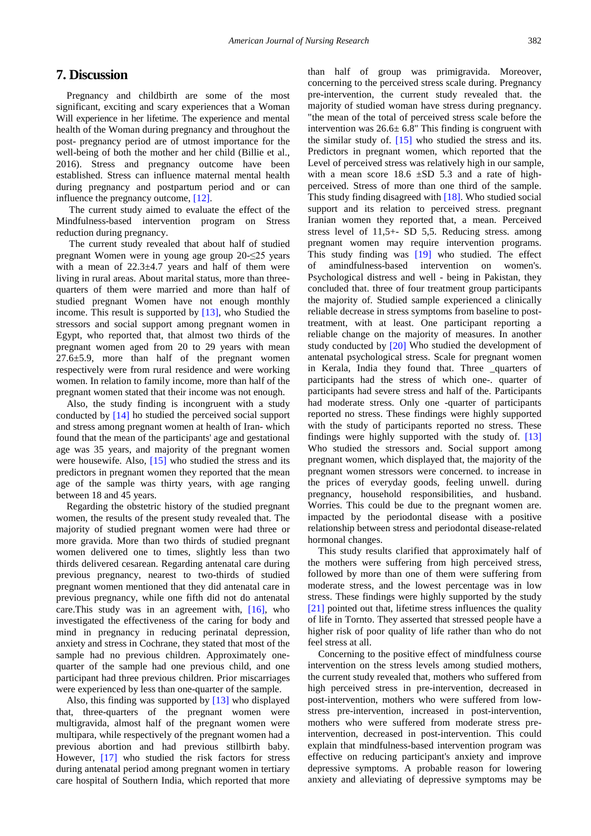## **7. Discussion**

Pregnancy and childbirth are some of the most significant, exciting and scary experiences that a Woman Will experience in her lifetime. The experience and mental health of the Woman during pregnancy and throughout the post- pregnancy period are of utmost importance for the well-being of both the mother and her child (Billie et al., 2016). Stress and pregnancy outcome have been established. Stress can influence maternal mental health during pregnancy and postpartum period and or can influence the pregnancy outcome[, \[12\].](#page-10-11)

The current study aimed to evaluate the effect of the Mindfulness-based intervention program on Stress reduction during pregnancy.

The current study revealed that about half of studied pregnant Women were in young age group 20-≤25 years with a mean of  $22.3 \pm 4.7$  years and half of them were living in rural areas. About marital status, more than threequarters of them were married and more than half of studied pregnant Women have not enough monthly income. This result is supported by [\[13\],](#page-10-12) who Studied the stressors and social support among pregnant women in Egypt, who reported that, that almost two thirds of the pregnant women aged from 20 to 29 years with mean 27.6±5.9, more than half of the pregnant women respectively were from rural residence and were working women. In relation to family income, more than half of the pregnant women stated that their income was not enough.

Also, the study finding is incongruent with a study conducted by [\[14\]](#page-10-13) ho studied the perceived social support and stress among pregnant women at health of Iran- which found that the mean of the participants' age and gestational age was 35 years, and majority of the pregnant women were housewife. Also, [\[15\]](#page-10-14) who studied the stress and its predictors in pregnant women they reported that the mean age of the sample was thirty years, with age ranging between 18 and 45 years.

Regarding the obstetric history of the studied pregnant women, the results of the present study revealed that. The majority of studied pregnant women were had three or more gravida. More than two thirds of studied pregnant women delivered one to times, slightly less than two thirds delivered cesarean. Regarding antenatal care during previous pregnancy, nearest to two-thirds of studied pregnant women mentioned that they did antenatal care in previous pregnancy, while one fifth did not do antenatal care. This study was in an agreement with,  $[16]$ , who investigated the effectiveness of the caring for body and mind in pregnancy in reducing perinatal depression, anxiety and stress in Cochrane, they stated that most of the sample had no previous children. Approximately onequarter of the sample had one previous child, and one participant had three previous children. Prior miscarriages were experienced by less than one-quarter of the sample.

Also, this finding was supported by [\[13\]](#page-10-12) who displayed that, three-quarters of the pregnant women were multigravida, almost half of the pregnant women were multipara, while respectively of the pregnant women had a previous abortion and had previous stillbirth baby. However, [\[17\]](#page-10-16) who studied the risk factors for stress during antenatal period among pregnant women in tertiary care hospital of Southern India, which reported that more

than half of group was primigravida. Moreover, concerning to the perceived stress scale during. Pregnancy pre-intervention, the current study revealed that. the majority of studied woman have stress during pregnancy. "the mean of the total of perceived stress scale before the intervention was  $26.6 \pm 6.8$ " This finding is congruent with the similar study of. [\[15\]](#page-10-14) who studied the stress and its. Predictors in pregnant women, which reported that the Level of perceived stress was relatively high in our sample, with a mean score  $18.6 \pm SD$  5.3 and a rate of highperceived. Stress of more than one third of the sample. This study finding disagreed with [\[18\].](#page-10-17) Who studied social support and its relation to perceived stress. pregnant Iranian women they reported that, a mean. Perceived stress level of 11,5+- SD 5,5. Reducing stress. among pregnant women may require intervention programs. This study finding was [\[19\]](#page-10-18) who studied. The effect of amindfulness-based intervention on women's. Psychological distress and well - being in Pakistan, they concluded that. three of four treatment group participants the majority of. Studied sample experienced a clinically reliable decrease in stress symptoms from baseline to posttreatment, with at least. One participant reporting a reliable change on the majority of measures. In another study conducted by [\[20\]](#page-10-19) Who studied the development of antenatal psychological stress. Scale for pregnant women in Kerala, India they found that. Three \_quarters of participants had the stress of which one-. quarter of participants had severe stress and half of the. Participants had moderate stress. Only one -quarter of participants reported no stress. These findings were highly supported with the study of participants reported no stress. These findings were highly supported with the study of. [\[13\]](#page-10-12) Who studied the stressors and. Social support among pregnant women, which displayed that, the majority of the pregnant women stressors were concerned. to increase in the prices of everyday goods, feeling unwell. during pregnancy, household responsibilities, and husband. Worries. This could be due to the pregnant women are. impacted by the periodontal disease with a positive relationship between stress and periodontal disease-related hormonal changes.

This study results clarified that approximately half of the mothers were suffering from high perceived stress, followed by more than one of them were suffering from moderate stress, and the lowest percentage was in low stress. These findings were highly supported by the study [\[21\]](#page-10-20) pointed out that, lifetime stress influences the quality of life in Tornto. They asserted that stressed people have a higher risk of poor quality of life rather than who do not feel stress at all.

Concerning to the positive effect of mindfulness course intervention on the stress levels among studied mothers, the current study revealed that, mothers who suffered from high perceived stress in pre-intervention, decreased in post-intervention, mothers who were suffered from lowstress pre-intervention, increased in post-intervention, mothers who were suffered from moderate stress preintervention, decreased in post-intervention. This could explain that mindfulness-based intervention program was effective on reducing participant's anxiety and improve depressive symptoms. A probable reason for lowering anxiety and alleviating of depressive symptoms may be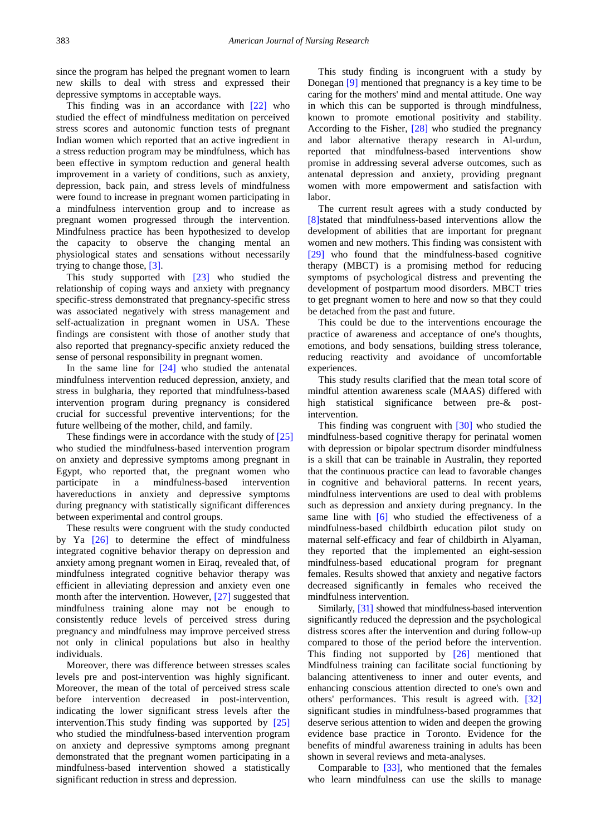since the program has helped the pregnant women to learn new skills to deal with stress and expressed their depressive symptoms in acceptable ways.

This finding was in an accordance with [\[22\]](#page-10-21) who studied the effect of mindfulness meditation on perceived stress scores and autonomic function tests of pregnant Indian women which reported that an active ingredient in a stress reduction program may be mindfulness, which has been effective in symptom reduction and general health improvement in a variety of conditions, such as anxiety, depression, back pain, and stress levels of mindfulness were found to increase in pregnant women participating in a mindfulness intervention group and to increase as pregnant women progressed through the intervention. Mindfulness practice has been hypothesized to develop the capacity to observe the changing mental an physiological states and sensations without necessarily trying to change those, [\[3\].](#page-10-2)

This study supported with [\[23\]](#page-10-22) who studied the relationship of coping ways and anxiety with pregnancy specific-stress demonstrated that pregnancy-specific stress was associated negatively with stress management and self-actualization in pregnant women in USA. These findings are consistent with those of another study that also reported that pregnancy-specific anxiety reduced the sense of personal responsibility in pregnant women.

In the same line for  $[24]$  who studied the antenatal mindfulness intervention reduced depression, anxiety, and stress in bulgharia, they reported that mindfulness-based intervention program during pregnancy is considered crucial for successful preventive interventions; for the future wellbeing of the mother, child, and family.

These findings were in accordance with the study of [\[25\]](#page-10-24) who studied the mindfulness-based intervention program on anxiety and depressive symptoms among pregnant in Egypt, who reported that, the pregnant women who participate in a mindfulness-based intervention havereductions in anxiety and depressive symptoms during pregnancy with statistically significant differences between experimental and control groups.

These results were congruent with the study conducted by Ya [\[26\]](#page-10-25) to determine the effect of mindfulness integrated cognitive behavior therapy on depression and anxiety among pregnant women in Eiraq, revealed that, of mindfulness integrated cognitive behavior therapy was efficient in alleviating depression and anxiety even one month after the intervention. However, [\[27\]](#page-10-26) suggested that mindfulness training alone may not be enough to consistently reduce levels of perceived stress during pregnancy and mindfulness may improve perceived stress not only in clinical populations but also in healthy individuals.

Moreover, there was difference between stresses scales levels pre and post-intervention was highly significant. Moreover, the mean of the total of perceived stress scale before intervention decreased in post-intervention, indicating the lower significant stress levels after the intervention.This study finding was supported by [\[25\]](#page-10-24) who studied the mindfulness-based intervention program on anxiety and depressive symptoms among pregnant demonstrated that the pregnant women participating in a mindfulness-based intervention showed a statistically significant reduction in stress and depression.

This study finding is incongruent with a study by Donegan [\[9\]](#page-10-8) mentioned that pregnancy is a key time to be caring for the mothers' mind and mental attitude. One way in which this can be supported is through mindfulness, known to promote emotional positivity and stability. According to the Fisher, [\[28\]](#page-10-27) who studied the pregnancy and labor alternative therapy research in Al-urdun, reported that mindfulness-based interventions show promise in addressing several adverse outcomes, such as antenatal depression and anxiety, providing pregnant women with more empowerment and satisfaction with labor.

The current result agrees with a study conducted by [\[8\]s](#page-10-7)tated that mindfulness-based interventions allow the development of abilities that are important for pregnant women and new mothers. This finding was consistent with [\[29\]](#page-10-28) who found that the mindfulness-based cognitive therapy (MBCT) is a promising method for reducing symptoms of psychological distress and preventing the development of postpartum mood disorders. MBCT tries to get pregnant women to here and now so that they could be detached from the past and future.

This could be due to the interventions encourage the practice of awareness and acceptance of one's thoughts, emotions, and body sensations, building stress tolerance, reducing reactivity and avoidance of uncomfortable experiences.

This study results clarified that the mean total score of mindful attention awareness scale (MAAS) differed with high statistical significance between pre-& postintervention.

This finding was congruent with [\[30\]](#page-10-29) who studied the mindfulness-based cognitive therapy for perinatal women with depression or bipolar spectrum disorder mindfulness is a skill that can be trainable in Australin, they reported that the continuous practice can lead to favorable changes in cognitive and behavioral patterns. In recent years, mindfulness interventions are used to deal with problems such as depression and anxiety during pregnancy. In the same line with [\[6\]](#page-10-5) who studied the effectiveness of a mindfulness-based childbirth education pilot study on maternal self-efficacy and fear of childbirth in Alyaman, they reported that the implemented an eight-session mindfulness-based educational program for pregnant females. Results showed that anxiety and negative factors decreased significantly in females who received the mindfulness intervention.

Similarly, [\[31\]](#page-10-30) showed that mindfulness-based intervention significantly reduced the depression and the psychological distress scores after the intervention and during follow-up compared to those of the period before the intervention. This finding not supported by [\[26\]](#page-10-25) mentioned that Mindfulness training can facilitate social functioning by balancing attentiveness to inner and outer events, and enhancing conscious attention directed to one's own and others' performances. This result is agreed with. [\[32\]](#page-10-31) significant studies in mindfulness-based programmes that deserve serious attention to widen and deepen the growing evidence base practice in Toronto. Evidence for the benefits of mindful awareness training in adults has been shown in several reviews and meta-analyses.

Comparable to [\[33\],](#page-10-32) who mentioned that the females who learn mindfulness can use the skills to manage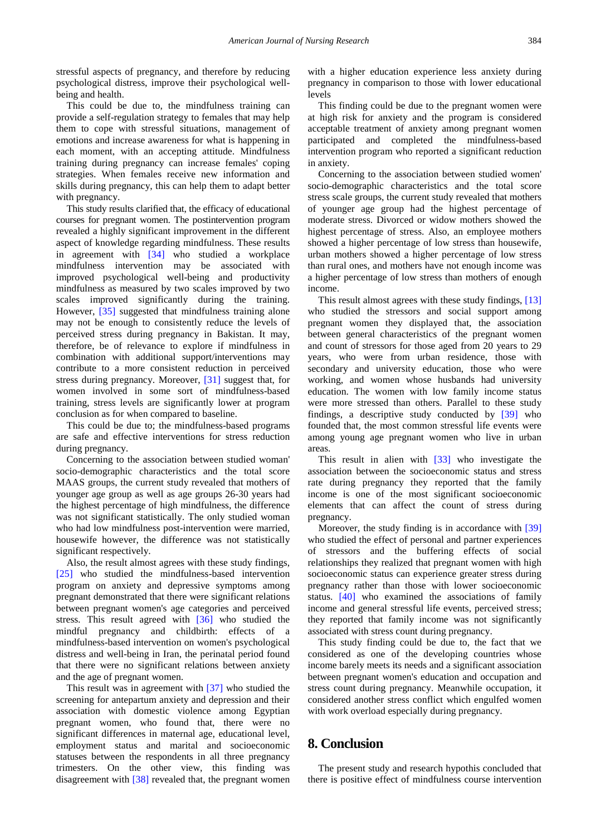stressful aspects of pregnancy, and therefore by reducing psychological distress, improve their psychological wellbeing and health.

This could be due to, the mindfulness training can provide a self-regulation strategy to females that may help them to cope with stressful situations, management of emotions and increase awareness for what is happening in each moment, with an accepting attitude. Mindfulness training during pregnancy can increase females' coping strategies. When females receive new information and skills during pregnancy, this can help them to adapt better with pregnancy.

This study results clarified that, the efficacy of educational courses for pregnant women. The postintervention program revealed a highly significant improvement in the different aspect of knowledge regarding mindfulness. These results in agreement with [\[34\]](#page-10-33) who studied a workplace mindfulness intervention may be associated with improved psychological well-being and productivity mindfulness as measured by two scales improved by two scales improved significantly during the training. However, [\[35\]](#page-10-34) suggested that mindfulness training alone may not be enough to consistently reduce the levels of perceived stress during pregnancy in Bakistan. It may, therefore, be of relevance to explore if mindfulness in combination with additional support/interventions may contribute to a more consistent reduction in perceived stress during pregnancy. Moreover, [\[31\]](#page-10-30) suggest that, for women involved in some sort of mindfulness-based training, stress levels are significantly lower at program conclusion as for when compared to baseline.

This could be due to; the mindfulness-based programs are safe and effective interventions for stress reduction during pregnancy.

Concerning to the association between studied woman' socio-demographic characteristics and the total score MAAS groups, the current study revealed that mothers of younger age group as well as age groups 26-30 years had the highest percentage of high mindfulness, the difference was not significant statistically. The only studied woman who had low mindfulness post-intervention were married, housewife however, the difference was not statistically significant respectively.

Also, the result almost agrees with these study findings, [\[25\]](#page-10-24) who studied the mindfulness-based intervention program on anxiety and depressive symptoms among pregnant demonstrated that there were significant relations between pregnant women's age categories and perceived stress. This result agreed with [\[36\]](#page-11-0) who studied the mindful pregnancy and childbirth: effects of a mindfulness-based intervention on women's psychological distress and well-being in Iran, the perinatal period found that there were no significant relations between anxiety and the age of pregnant women.

This result was in agreement with [\[37\]](#page-11-1) who studied the screening for antepartum anxiety and depression and their association with domestic violence among Egyptian pregnant women, who found that, there were no significant differences in maternal age, educational level, employment status and marital and socioeconomic statuses between the respondents in all three pregnancy trimesters. On the other view, this finding was disagreement with [\[38\]](#page-11-2) revealed that, the pregnant women

with a higher education experience less anxiety during pregnancy in comparison to those with lower educational levels

This finding could be due to the pregnant women were at high risk for anxiety and the program is considered acceptable treatment of anxiety among pregnant women participated and completed the mindfulness-based intervention program who reported a significant reduction in anxiety.

Concerning to the association between studied women' socio-demographic characteristics and the total score stress scale groups, the current study revealed that mothers of younger age group had the highest percentage of moderate stress. Divorced or widow mothers showed the highest percentage of stress. Also, an employee mothers showed a higher percentage of low stress than housewife, urban mothers showed a higher percentage of low stress than rural ones, and mothers have not enough income was a higher percentage of low stress than mothers of enough income.

This result almost agrees with these study findings, [\[13\]](#page-10-12) who studied the stressors and social support among pregnant women they displayed that, the association between general characteristics of the pregnant women and count of stressors for those aged from 20 years to 29 years, who were from urban residence, those with secondary and university education, those who were working, and women whose husbands had university education. The women with low family income status were more stressed than others. Parallel to these study findings, a descriptive study conducted by [\[39\]](#page-11-3) who founded that, the most common stressful life events were among young age pregnant women who live in urban areas.

This result in alien with [\[33\]](#page-10-32) who investigate the association between the socioeconomic status and stress rate during pregnancy they reported that the family income is one of the most significant socioeconomic elements that can affect the count of stress during pregnancy.

Moreover, the study finding is in accordance with [\[39\]](#page-11-3) who studied the effect of personal and partner experiences of stressors and the buffering effects of social relationships they realized that pregnant women with high socioeconomic status can experience greater stress during pregnancy rather than those with lower socioeconomic status. [\[40\]](#page-11-4) who examined the associations of family income and general stressful life events, perceived stress; they reported that family income was not significantly associated with stress count during pregnancy.

This study finding could be due to, the fact that we considered as one of the developing countries whose income barely meets its needs and a significant association between pregnant women's education and occupation and stress count during pregnancy. Meanwhile occupation, it considered another stress conflict which engulfed women with work overload especially during pregnancy.

# **8. Conclusion**

The present study and research hypothis concluded that there is positive effect of mindfulness course intervention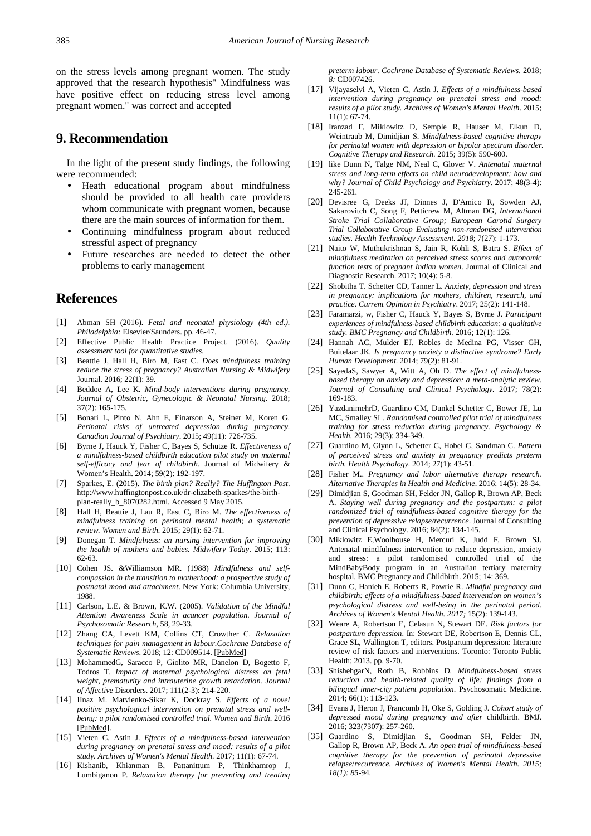on the stress levels among pregnant women. The study approved that the research hypothesis" Mindfulness was have positive effect on reducing stress level among pregnant women." was correct and accepted

## **9. Recommendation**

In the light of the present study findings, the following were recommended:

- Heath educational program about mindfulness should be provided to all health care providers whom communicate with pregnant women, because there are the main sources of information for them.
- Continuing mindfulness program about reduced stressful aspect of pregnancy
- Future researches are needed to detect the other problems to early management

## **References**

- <span id="page-10-0"></span>[1] Abman SH (2016). *Fetal and neonatal physiology (4th ed.). Philadelphia:* Elsevier/Saunders. pp. 46-47.
- <span id="page-10-1"></span>[2] Effective Public Health Practice Project. (2016). *Quality assessment tool for quantitative studies*.
- <span id="page-10-2"></span>[3] Beattie J, Hall H, Biro M, East C. *Does mindfulness training reduce the stress of pregnancy? Australian Nursing & Midwifery* Journal. 2016; 22(1): 39.
- <span id="page-10-3"></span>[4] Beddoe A, Lee K. *Mind-body interventions during pregnancy. Journal of Obstetric, Gynecologic & Neonatal Nursing.* 2018; 37(2): 165-175.
- <span id="page-10-4"></span>[5] Bonari L, Pinto N, Ahn E, Einarson A, Steiner M, Koren G. *Perinatal risks of untreated depression during pregnancy. Canadian Journal of Psychiatry*. 2015; 49(11): 726-735.
- <span id="page-10-5"></span>[6] Byrne J, Hauck Y, Fisher C, Bayes S, Schutze R. *Effectiveness of a mindfulness-based childbirth education pilot study on maternal self-efficacy and fear of childbirth.* Journal of Midwifery & Women's Health. 2014; 59(2): 192-197.
- <span id="page-10-6"></span>[7] Sparkes, E. (2015). *The birth plan? Really? The Huffington Post*. http://www.huffingtonpost.co.uk/dr-elizabeth-sparkes/the-birthplan-really\_b\_8070282.html. Accessed 9 May 2015.
- <span id="page-10-7"></span>[8] Hall H, Beattie J, Lau R, East C, Biro M. *The effectiveness of mindfulness training on perinatal mental health; a systematic review. Women and Birth.* 2015; 29(1): 62-71.
- <span id="page-10-8"></span>[9] Donegan T. *Mindfulness: an nursing intervention for improving the health of mothers and babies. Midwifery Today*. 2015; 113: 62-63.
- <span id="page-10-9"></span>[10] Cohen JS. &Williamson MR. (1988) *Mindfulness and selfcompassion in the transition to motherhood: a prospective study of postnatal mood and attachment*. New York: Columbia University, 1988.
- <span id="page-10-10"></span>[11] Carlson, L.E. & Brown, K.W. (2005). *Validation of the Mindful Attention Awareness Scale in acancer population. Journal of Psychosomatic Research*, 58, 29-33.
- <span id="page-10-11"></span>[12] Zhang CA, Levett KM, Collins CT, Crowther C. *Relaxation techniques for pain management in labour.Cochrane Database of Systematic Reviews*. 2018; 12: CD009514. [PubMed]
- <span id="page-10-12"></span>[13] MohammedG, Saracco P, Giolito MR, Danelon D, Bogetto F, Todros T. *Impact of maternal psychological distress on fetal weight, prematurity and intrauterine growth retardation. Journal of Affective* Disorders. 2017; 111(2-3): 214-220.
- <span id="page-10-13"></span>[14] IInaz M. Matvienko-Sikar K, Dockray S. *Effects of a novel positive psychological intervention on prenatal stress and wellbeing: a pilot randomised controlled trial. Women and Birth*. 2016 [PubMed].
- <span id="page-10-14"></span>[15] Vieten C, Astin J. *Effects of a mindfulness-based intervention during pregnancy on prenatal stress and mood: results of a pilot study. Archives of Women's Mental Health.* 2017; 11(1): 67-74.
- <span id="page-10-15"></span>[16] Kishanib, Khianman B, Pattanittum P, Thinkhamrop J, Lumbiganon P. *Relaxation therapy for preventing and treating*

*preterm labour. Cochrane Database of Systematic Reviews.* 2018*; 8:* CD007426.

- <span id="page-10-16"></span>[17] Vijayaselvi A, Vieten C, Astin J. *Effects of a mindfulness-based intervention during pregnancy on prenatal stress and mood: results of a pilot study. Archives of Women's Mental Health*. 2015; 11(1): 67-74.
- <span id="page-10-17"></span>[18] Iranzad F, Miklowitz D, Semple R, Hauser M, Elkun D, Weintraub M, Dimidjian S. *Mindfulness-based cognitive therapy for perinatal women with depression or bipolar spectrum disorder. Cognitive Therapy and Research*. 2015; 39(5): 590-600.
- <span id="page-10-18"></span>[19] like Dunn N, Talge NM, Neal C, Glover V. *Antenatal maternal stress and long-term effects on child neurodevelopment: how and why? Journal of Child Psychology and Psychiatry*. 2017; 48(3-4): 245-261.
- <span id="page-10-19"></span>[20] Devisree G, Deeks JJ, Dinnes J, D'Amico R, Sowden AJ, Sakarovitch C, Song F, Petticrew M, Altman DG, *International Stroke Trial Collaborative Group; European Carotid Surgery Trial Collaborative Group Evaluating non-randomised intervention studies. Health Technology Assessment. 2018*; 7(27): 1-173.
- <span id="page-10-20"></span>[21] Naito W, Muthukrishnan S, Jain R, Kohli S, Batra S. *Effect of mindfulness meditation on perceived stress scores and autonomic function tests of pregnant Indian women*. Journal of Clinical and Diagnostic Research. 2017; 10(4): 5-8.
- <span id="page-10-21"></span>[22] Shobitha T. Schetter CD, Tanner L. *Anxiety, depression and stress in pregnancy: implications for mothers, children, research, and practice. Current Opinion in Psychiatry*. 2017; 25(2): 141-148.
- <span id="page-10-22"></span>[23] Faramarzi, w, Fisher C, Hauck Y, Bayes S, Byrne J. *Participant experiences of mindfulness-based childbirth education: a qualitative study. BMC Pregnancy and Childbirth.* 2016; 12(1): 126.
- <span id="page-10-23"></span>[24] Hannah AC, Mulder EJ, Robles de Medina PG, Visser GH, Buitelaar JK*. Is pregnancy anxiety a distinctive syndrome? Early Human Development*. 2014; 79(2): 81-91.
- <span id="page-10-24"></span>[25] SayedaS, Sawyer A, Witt A, Oh D. *The effect of mindfulnessbased therapy on anxiety and depression: a meta-analytic review. Journal of Consulting and Clinical Psychology.* 2017; 78(2): 169-183.
- <span id="page-10-25"></span>[26] YazdanimehrD, Guardino CM, Dunkel Schetter C, Bower JE, Lu MC, Smalley SL. *Randomised controlled pilot trial of mindfulness training for stress reduction during pregnancy. Psychology & Health.* 2016; 29(3): 334-349.
- <span id="page-10-26"></span>[27] Guardino M, Glynn L, Schetter C, Hobel C, Sandman C. *Pattern of perceived stress and anxiety in pregnancy predicts preterm birth. Health Psychology.* 2014; 27(1): 43-51.
- <span id="page-10-27"></span>[28] Fisher M.. *Pregnancy and labor alternative therapy research. Alternative Therapies in Health and Medicine*. 2016; 14(5): 28-34.
- <span id="page-10-28"></span>[29] Dimidjian S, Goodman SH, Felder JN, Gallop R, Brown AP, Beck A. *Staying well during pregnancy and the postpartum: a pilot randomized trial of mindfulness-based cognitive therapy for the prevention of depressive relapse/recurrence*. Journal of Consulting and Clinical Psychology. 2016; 84(2): 134-145.
- <span id="page-10-29"></span>[30] Miklowitz E,Woolhouse H, Mercuri K, Judd F, Brown SJ. Antenatal mindfulness intervention to reduce depression, anxiety and stress: a pilot randomised controlled trial of the MindBabyBody program in an Australian tertiary maternity hospital. BMC Pregnancy and Childbirth. 2015; 14: 369.
- <span id="page-10-30"></span>[31] Dunn C, Hanieh E, Roberts R, Powrie R. *Mindful pregnancy and childbirth: effects of a mindfulness-based intervention on women's psychological distress and well-being in the perinatal period. Archives of Women's Mental Health. 2017;* 15(2): 139-143.
- <span id="page-10-31"></span>[32] Weare A, Robertson E, Celasun N, Stewart DE. *Risk factors for postpartum depression*. In: Stewart DE, Robertson E, Dennis CL, Grace SL, Wallington T, editors. Postpartum depression: literature review of risk factors and interventions. Toronto: Toronto Public Health; 2013. pp. 9-70.
- <span id="page-10-32"></span>[33] ShishehgarN, Roth B, Robbins D. *Mindfulness-based stress reduction and health-related quality of life: findings from a bilingual inner-city patient population*. Psychosomatic Medicine. 2014; 66(1): 113-123.
- <span id="page-10-33"></span>[34] Evans J, Heron J, Francomb H, Oke S, Golding J. *Cohort study of depressed mood during pregnancy and after* childbirth. BMJ. 2016; 323(7307): 257-260.
- <span id="page-10-34"></span>[35] Guardino S, Dimidjian S, Goodman SH, Felder JN, Gallop R, Brown AP, Beck A. *An open trial of mindfulness-based cognitive therapy for the prevention of perinatal depressive relapse*/*recurrence. Archives of Women's Mental Health. 2015; 18(1): 85*-94.